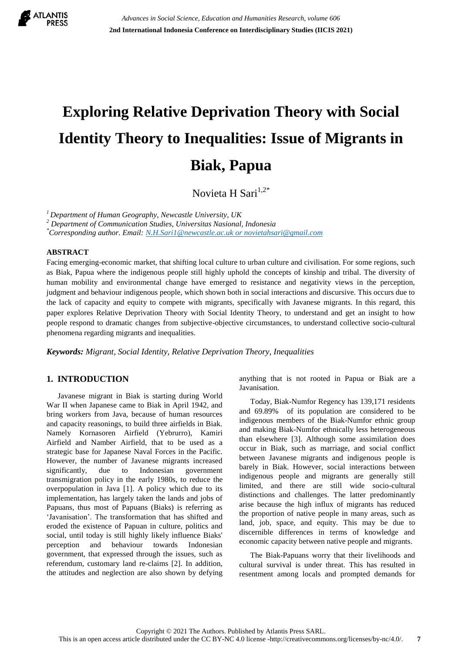

# **Exploring Relative Deprivation Theory with Social Identity Theory to Inequalities: Issue of Migrants in Biak, Papua**

Novieta H Sari $1,2^*$ 

*<sup>1</sup>Department of Human Geography, Newcastle University, UK*

*<sup>2</sup> Department of Communication Studies, Universitas Nasional, Indonesia*

*\*Corresponding author. Email[: N.H.Sari1@newcastle.ac.uk or novietahsari@gmail.com](mailto:N.H.Sari1@newcastle.ac.uk%20or%20novietahsari@gmail.com)*

#### **ABSTRACT**

Facing emerging-economic market, that shifting local culture to urban culture and civilisation. For some regions, such as Biak, Papua where the indigenous people still highly uphold the concepts of kinship and tribal. The diversity of human mobility and environmental change have emerged to resistance and negativity views in the perception, judgment and behaviour indigenous people, which shown both in social interactions and discursive. This occurs due to the lack of capacity and equity to compete with migrants, specifically with Javanese migrants. In this regard, this paper explores Relative Deprivation Theory with Social Identity Theory, to understand and get an insight to how people respond to dramatic changes from subjective-objective circumstances, to understand collective socio-cultural phenomena regarding migrants and inequalities.

*Keywords: Migrant, Social Identity, Relative Deprivation Theory, Inequalities*

## **1. INTRODUCTION**

Javanese migrant in Biak is starting during World War II when Japanese came to Biak in April 1942, and bring workers from Java, because of human resources and capacity reasonings, to build three airfields in Biak. Namely Kornasoren Airfield (Yebrurro), Kamiri Airfield and Namber Airfield, that to be used as a strategic base for Japanese Naval Forces in the Pacific. However, the number of Javanese migrants increased significantly, due to Indonesian government transmigration policy in the early 1980s, to reduce the overpopulation in Java [1]. A policy which due to its implementation, has largely taken the lands and jobs of Papuans, thus most of Papuans (Biaks) is referring as 'Javanisation'. The transformation that has shifted and eroded the existence of Papuan in culture, politics and social, until today is still highly likely influence Biaks' perception and behaviour towards Indonesian government, that expressed through the issues, such as referendum, customary land re-claims [2]. In addition, the attitudes and neglection are also shown by defying anything that is not rooted in Papua or Biak are a Javanisation.

Today, Biak-Numfor Regency has 139,171 residents and 69.89% of its population are considered to be indigenous members of the Biak-Numfor ethnic group and making Biak-Numfor ethnically less heterogeneous than elsewhere [3]. Although some assimilation does occur in Biak, such as marriage, and social conflict between Javanese migrants and indigenous people is barely in Biak. However, social interactions between indigenous people and migrants are generally still limited, and there are still wide socio-cultural distinctions and challenges. The latter predominantly arise because the high influx of migrants has reduced the proportion of native people in many areas, such as land, job, space, and equity. This may be due to discernible differences in terms of knowledge and economic capacity between native people and migrants.

The Biak-Papuans worry that their livelihoods and cultural survival is under threat. This has resulted in resentment among locals and prompted demands for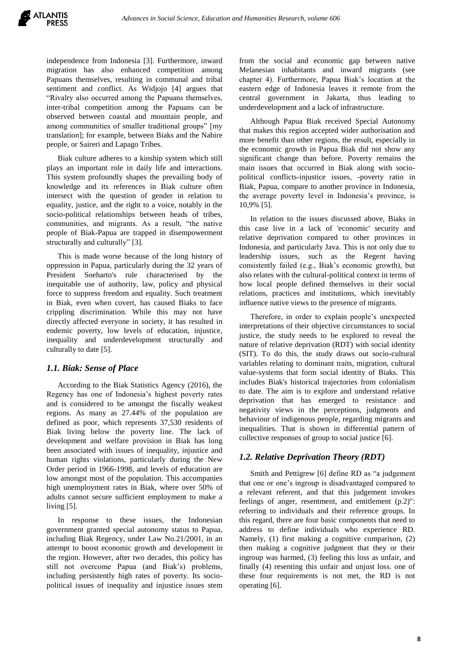independence from Indonesia [3]. Furthermore, inward migration has also enhanced competition among Papuans themselves, resulting in communal and tribal sentiment and conflict. As Widjojo [4] argues that "Rivalry also occurred among the Papuans themselves, inter-tribal competition among the Papuans can be observed between coastal and mountain people, and among communities of smaller traditional groups" [my translation]; for example, between Biaks and the Nabire people, or Saireri and Lapago Tribes.

Biak culture adheres to a kinship system which still plays an important role in daily life and interactions. This system profoundly shapes the prevailing body of knowledge and its references in Biak culture often intersect with the question of gender in relation to equality, justice, and the right to a voice, notably in the socio-political relationships between heads of tribes, communities, and migrants. As a result, "the native people of Biak-Papua are trapped in disempowerment structurally and culturally" [3].

This is made worse because of the long history of oppression in Papua, particularly during the 32 years of President Soeharto's rule characterised by the inequitable use of authority, law, policy and physical force to suppress freedom and equality. Such treatment in Biak, even when covert, has caused Biaks to face crippling discrimination. While this may not have directly affected everyone in society, it has resulted in endemic poverty, low levels of education, injustice, inequality and underdevelopment structurally and culturally to date [5].

## *1.1. Biak: Sense of Place*

According to the Biak Statistics Agency (2016), the Regency has one of Indonesia"s highest poverty rates and is considered to be amongst the fiscally weakest regions. As many as 27.44% of the population are defined as poor, which represents 37,530 residents of Biak living below the poverty line. The lack of development and welfare provision in Biak has long been associated with issues of inequality, injustice and human rights violations, particularly during the New Order period in 1966-1998, and levels of education are low amongst most of the population. This accompanies high unemployment rates in Biak, where over 50% of adults cannot secure sufficient employment to make a living [5].

In response to these issues, the Indonesian government granted special autonomy status to Papua, including Biak Regency, under Law No.21/2001, in an attempt to boost economic growth and development in the region. However, after two decades, this policy has still not overcome Papua (and Biak"s) problems, including persistently high rates of poverty. Its sociopolitical issues of inequality and injustice issues stem from the social and economic gap between native Melanesian inhabitants and inward migrants (see chapter 4). Furthermore, Papua Biak"s location at the eastern edge of Indonesia leaves it remote from the central government in Jakarta, thus leading to underdevelopment and a lack of infrastructure.

Although Papua Biak received Special Autonomy that makes this region accepted wider authorisation and more benefit than other regions, the result, especially in the economic growth in Papua Biak did not show any significant change than before. Poverty remains the main issues that occurred in Biak along with sociopolitical conflicts-injustice issues, -poverty ratio in Biak, Papua, compare to another province in Indonesia, the average poverty level in Indonesia"s province, is 10,9% [5].

In relation to the issues discussed above, Biaks in this case live in a lack of 'economic' security and relative deprivation compared to other provinces in Indonesia, and particularly Java. This is not only due to leadership issues, such as the Regent having consistently failed (e.g., Biak"s economic growth), but also relates with the cultural-political context in terms of how local people defined themselves in their social relations, practices and institutions, which inevitably influence native views to the presence of migrants.

Therefore, in order to explain people"s unexpected interpretations of their objective circumstances to social justice, the study needs to be explored to reveal the nature of relative deprivation (RDT) with social identity (SIT). To do this, the study draws out socio-cultural variables relating to dominant traits, migration, cultural value-systems that form social identity of Biaks. This includes Biak's historical trajectories from colonialism to date. The aim is to explore and understand relative deprivation that has emerged to resistance and negativity views in the perceptions, judgments and behaviour of indigenous people, regarding migrants and inequalities. That is shown in differential pattern of collective responses of group to social justice [6].

## *1.2. Relative Deprivation Theory (RDT)*

Smith and Pettigrew [6] define RD as "a judgement that one or one"s ingroup is disadvantaged compared to a relevant referent, and that this judgement invokes feelings of anger, resentment, and entitlement (p.2)": referring to individuals and their reference groups. In this regard, there are four basic components that need to address to define individuals who experience RD. Namely, (1) first making a cognitive comparison, (2) then making a cognitive judgment that they or their ingroup was harmed, (3) feeling this loss as unfair, and finally (4) resenting this unfair and unjust loss. one of these four requirements is not met, the RD is not operating [6].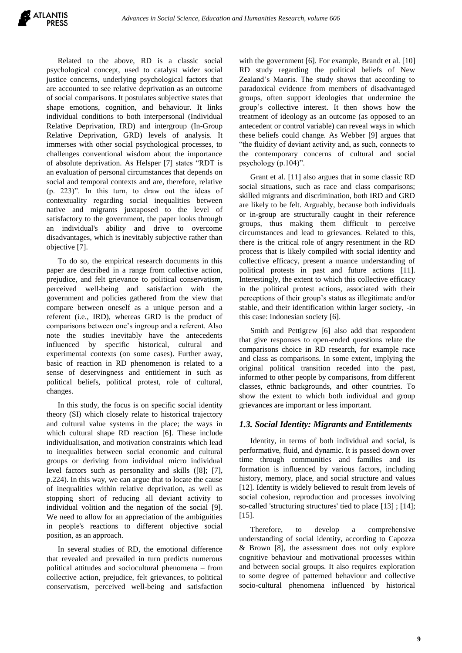Related to the above, RD is a classic social psychological concept, used to catalyst wider social justice concerns, underlying psychological factors that are accounted to see relative deprivation as an outcome of social comparisons. It postulates subjective states that shape emotions, cognition, and behaviour. It links individual conditions to both interpersonal (Individual Relative Deprivation, IRD) and intergroup (In-Group Relative Deprivation, GRD) levels of analysis. It immerses with other social psychological processes, to challenges conventional wisdom about the importance of absolute deprivation. As Helsper [7] states "RDT is an evaluation of personal circumstances that depends on social and temporal contexts and are, therefore, relative (p. 223)". In this turn, to draw out the ideas of contextuality regarding social inequalities between native and migrants juxtaposed to the level of satisfactory to the government, the paper looks through an individual's ability and drive to overcome disadvantages, which is inevitably subjective rather than objective [7].

To do so, the empirical research documents in this paper are described in a range from collective action, prejudice, and felt grievance to political conservatism, perceived well-being and satisfaction with the government and policies gathered from the view that compare between oneself as a unique person and a referent (i.e., IRD), whereas GRD is the product of comparisons between one"s ingroup and a referent. Also note the studies inevitably have the antecedents influenced by specific historical, cultural and experimental contexts (on some cases). Further away, basic of reaction in RD phenomenon is related to a sense of deservingness and entitlement in such as political beliefs, political protest, role of cultural, changes.

In this study, the focus is on specific social identity theory (SI) which closely relate to historical trajectory and cultural value systems in the place; the ways in which cultural shape RD reaction [6]. These include individualisation, and motivation constraints which lead to inequalities between social economic and cultural groups or deriving from individual micro individual level factors such as personality and skills ([8]; [7], p.224). In this way, we can argue that to locate the cause of inequalities within relative deprivation, as well as stopping short of reducing all deviant activity to individual volition and the negation of the social [9]. We need to allow for an appreciation of the ambiguities in people's reactions to different objective social position, as an approach.

In several studies of RD, the emotional difference that revealed and prevailed in turn predicts numerous political attitudes and sociocultural phenomena – from collective action, prejudice, felt grievances, to political conservatism, perceived well-being and satisfaction with the government [6]. For example, Brandt et al. [10] RD study regarding the political beliefs of New Zealand"s Maoris. The study shows that according to paradoxical evidence from members of disadvantaged groups, often support ideologies that undermine the group"s collective interest. It then shows how the treatment of ideology as an outcome (as opposed to an antecedent or control variable) can reveal ways in which these beliefs could change. As Webber [9] argues that "the fluidity of deviant activity and, as such, connects to the contemporary concerns of cultural and social psychology (p.104)".

Grant et al. [11] also argues that in some classic RD social situations, such as race and class comparisons; skilled migrants and discrimination, both IRD and GRD are likely to be felt. Arguably, because both individuals or in-group are structurally caught in their reference groups, thus making them difficult to perceive circumstances and lead to grievances. Related to this, there is the critical role of angry resentment in the RD process that is likely compiled with social identity and collective efficacy, present a nuance understanding of political protests in past and future actions [11]. Interestingly, the extent to which this collective efficacy in the political protest actions, associated with their perceptions of their group"s status as illegitimate and/or stable, and their identification within larger society, -in this case: Indonesian society [6].

Smith and Pettigrew [6] also add that respondent that give responses to open-ended questions relate the comparisons choice in RD research, for example race and class as comparisons. In some extent, implying the original political transition receded into the past, informed to other people by comparisons, from different classes, ethnic backgrounds, and other countries. To show the extent to which both individual and group grievances are important or less important.

## *1.3. Social Identity: Migrants and Entitlements*

Identity, in terms of both individual and social, is performative, fluid, and dynamic. It is passed down over time through communities and families and its formation is influenced by various factors, including history, memory, place, and social structure and values [12]. Identity is widely believed to result from levels of social cohesion, reproduction and processes involving so-called 'structuring structures' tied to place [13] ; [14]; [15].

Therefore, to develop a comprehensive understanding of social identity, according to Capozza & Brown [8], the assessment does not only explore cognitive behaviour and motivational processes within and between social groups. It also requires exploration to some degree of patterned behaviour and collective socio-cultural phenomena influenced by historical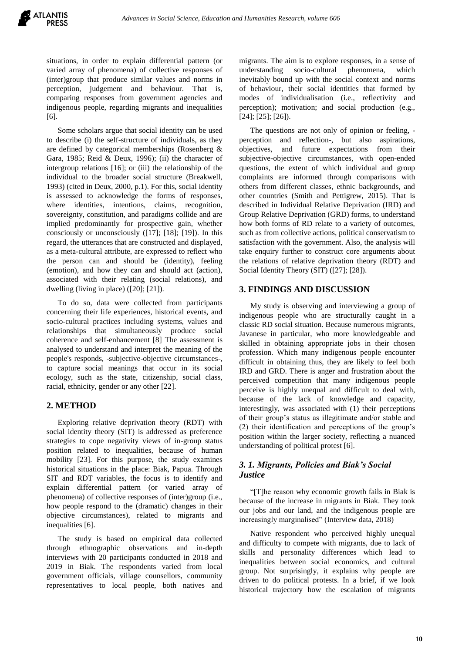situations, in order to explain differential pattern (or varied array of phenomena) of collective responses of (inter)group that produce similar values and norms in perception, judgement and behaviour. That is, comparing responses from government agencies and indigenous people, regarding migrants and inequalities [6].

Some scholars argue that social identity can be used to describe (i) the self-structure of individuals, as they are defined by categorical memberships (Rosenberg & Gara, 1985; Reid & Deux, 1996); (ii) the character of intergroup relations [16]; or (iii) the relationship of the individual to the broader social structure (Breakwell, 1993) (cited in Deux, 2000, p.1). For this, social identity is assessed to acknowledge the forms of responses, where identities, intentions, claims, recognition, sovereignty, constitution, and paradigms collide and are implied predominantly for prospective gain, whether consciously or unconsciously ([17]; [18]; [19]). In this regard, the utterances that are constructed and displayed, as a meta-cultural attribute, are expressed to reflect who the person can and should be (identity), feeling (emotion), and how they can and should act (action), associated with their relating (social relations), and dwelling (living in place) ([20]; [21]).

To do so, data were collected from participants concerning their life experiences, historical events, and socio-cultural practices including systems, values and relationships that simultaneously produce social coherence and self-enhancement [8] The assessment is analysed to understand and interpret the meaning of the people's responds, -subjective-objective circumstances-, to capture social meanings that occur in its social ecology, such as the state, citizenship, social class, racial, ethnicity, gender or any other [22].

## **2. METHOD**

Exploring relative deprivation theory (RDT) with social identity theory (SIT) is addressed as preference strategies to cope negativity views of in-group status position related to inequalities, because of human mobility [23]. For this purpose, the study examines historical situations in the place: Biak, Papua. Through SIT and RDT variables, the focus is to identify and explain differential pattern (or varied array of phenomena) of collective responses of (inter)group (i.e., how people respond to the (dramatic) changes in their objective circumstances), related to migrants and inequalities [6].

The study is based on empirical data collected through ethnographic observations and in-depth interviews with 20 participants conducted in 2018 and 2019 in Biak. The respondents varied from local government officials, village counsellors, community representatives to local people, both natives and migrants. The aim is to explore responses, in a sense of understanding socio-cultural phenomena, which inevitably bound up with the social context and norms of behaviour, their social identities that formed by modes of individualisation (i.e., reflectivity and perception); motivation; and social production (e.g., [24]; [25]; [26]).

The questions are not only of opinion or feeling, perception and reflection-, but also aspirations, objectives, and future expectations from their subjective-objective circumstances, with open-ended questions, the extent of which individual and group complaints are informed through comparisons with others from different classes, ethnic backgrounds, and other countries (Smith and Pettigrew, 2015). That is described in Individual Relative Deprivation (IRD) and Group Relative Deprivation (GRD) forms, to understand how both forms of RD relate to a variety of outcomes, such as from collective actions, political conservatism to satisfaction with the government. Also, the analysis will take enquiry further to construct core arguments about the relations of relative deprivation theory (RDT) and Social Identity Theory (SIT) ([27]; [28]).

## **3. FINDINGS AND DISCUSSION**

My study is observing and interviewing a group of indigenous people who are structurally caught in a classic RD social situation. Because numerous migrants, Javanese in particular, who more knowledgeable and skilled in obtaining appropriate jobs in their chosen profession. Which many indigenous people encounter difficult in obtaining thus, they are likely to feel both IRD and GRD. There is anger and frustration about the perceived competition that many indigenous people perceive is highly unequal and difficult to deal with, because of the lack of knowledge and capacity, interestingly, was associated with (1) their perceptions of their group"s status as illegitimate and/or stable and (2) their identification and perceptions of the group"s position within the larger society, reflecting a nuanced understanding of political protest [6].

## *3. 1. Migrants, Policies and Biak's Social Justice*

"[T]he reason why economic growth fails in Biak is because of the increase in migrants in Biak. They took our jobs and our land, and the indigenous people are increasingly marginalised" (Interview data, 2018)

Native respondent who perceived highly unequal and difficulty to compete with migrants, due to lack of skills and personality differences which lead to inequalities between social economics, and cultural group. Not surprisingly, it explains why people are driven to do political protests. In a brief, if we look historical trajectory how the escalation of migrants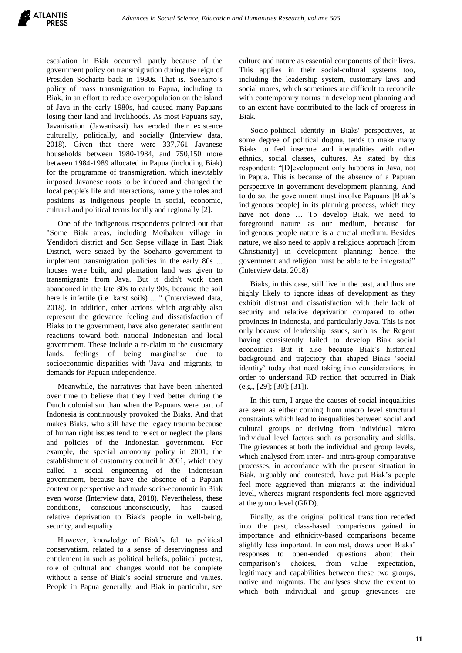escalation in Biak occurred, partly because of the government policy on transmigration during the reign of Presiden Soeharto back in 1980s. That is, Soeharto"s policy of mass transmigration to Papua, including to Biak, in an effort to reduce overpopulation on the island of Java in the early 1980s, had caused many Papuans losing their land and livelihoods. As most Papuans say, Javanisation (Jawanisasi) has eroded their existence culturally, politically, and socially (Interview data, 2018). Given that there were 337,761 Javanese households between 1980-1984, and 750,150 more between 1984-1989 allocated in Papua (including Biak) for the programme of transmigration, which inevitably imposed Javanese roots to be induced and changed the local people's life and interactions, namely the roles and positions as indigenous people in social, economic, cultural and political terms locally and regionally [2].

One of the indigenous respondents pointed out that "Some Biak areas, including Moibaken village in Yendidori district and Son Sepse village in East Biak District, were seized by the Soeharto government to implement transmigration policies in the early 80s ... houses were built, and plantation land was given to transmigrants from Java. But it didn't work then abandoned in the late 80s to early 90s, because the soil here is infertile (i.e. karst soils) ... " (Interviewed data, 2018). In addition, other actions which arguably also represent the grievance feeling and dissatisfaction of Biaks to the government, have also generated sentiment reactions toward both national Indonesian and local government. These include a re-claim to the customary lands, feelings of being marginalise due to socioeconomic disparities with 'Java' and migrants, to demands for Papuan independence.

Meanwhile, the narratives that have been inherited over time to believe that they lived better during the Dutch colonialism than when the Papuans were part of Indonesia is continuously provoked the Biaks. And that makes Biaks, who still have the legacy trauma because of human right issues tend to reject or neglect the plans and policies of the Indonesian government. For example, the special autonomy policy in 2001; the establishment of customary council in 2001, which they called a social engineering of the Indonesian government, because have the absence of a Papuan context or perspective and made socio-economic in Biak even worse (Interview data, 2018). Nevertheless, these conditions, conscious-unconsciously, has caused relative deprivation to Biak's people in well-being, security, and equality.

However, knowledge of Biak"s felt to political conservatism, related to a sense of deservingness and entitlement in such as political beliefs, political protest, role of cultural and changes would not be complete without a sense of Biak's social structure and values. People in Papua generally, and Biak in particular, see culture and nature as essential components of their lives. This applies in their social-cultural systems too, including the leadership system, customary laws and social mores, which sometimes are difficult to reconcile with contemporary norms in development planning and to an extent have contributed to the lack of progress in Biak.

Socio-political identity in Biaks' perspectives, at some degree of political dogma, tends to make many Biaks to feel insecure and inequalities with other ethnics, social classes, cultures. As stated by this respondent: "[D]evelopment only happens in Java, not in Papua. This is because of the absence of a Papuan perspective in government development planning. And to do so, the government must involve Papuans [Biak"s indigenous people] in its planning process, which they have not done … To develop Biak, we need to foreground nature as our medium, because for indigenous people nature is a crucial medium. Besides nature, we also need to apply a religious approach [from Christianity] in development planning: hence, the government and religion must be able to be integrated" (Interview data, 2018)

Biaks, in this case, still live in the past, and thus are highly likely to ignore ideas of development as they exhibit distrust and dissatisfaction with their lack of security and relative deprivation compared to other provinces in Indonesia, and particularly Java. This is not only because of leadership issues, such as the Regent having consistently failed to develop Biak social economics. But it also because Biak"s historical background and trajectory that shaped Biaks "social identity" today that need taking into considerations, in order to understand RD rection that occurred in Biak (e.g., [29]; [30]; [31]).

In this turn, I argue the causes of social inequalities are seen as either coming from macro level structural constraints which lead to inequalities between social and cultural groups or deriving from individual micro individual level factors such as personality and skills. The grievances at both the individual and group levels, which analysed from inter- and intra-group comparative processes, in accordance with the present situation in Biak, arguably and contested, have put Biak"s people feel more aggrieved than migrants at the individual level, whereas migrant respondents feel more aggrieved at the group level (GRD).

Finally, as the original political transition receded into the past, class-based comparisons gained in importance and ethnicity-based comparisons became slightly less important. In contrast, draws upon Biaks' responses to open-ended questions about their comparison"s choices, from value expectation, legitimacy and capabilities between these two groups, native and migrants. The analyses show the extent to which both individual and group grievances are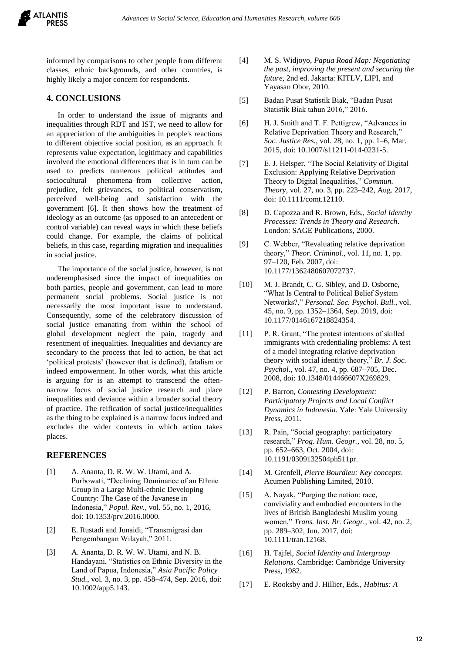

informed by comparisons to other people from different classes, ethnic backgrounds, and other countries, is highly likely a major concern for respondents.

#### **4. CONCLUSIONS**

In order to understand the issue of migrants and inequalities through RDT and IST, we need to allow for an appreciation of the ambiguities in people's reactions to different objective social position, as an approach. It represents value expectation, legitimacy and capabilities involved the emotional differences that is in turn can be used to predicts numerous political attitudes and sociocultural phenomena–from collective action, prejudice, felt grievances, to political conservatism, perceived well-being and satisfaction with the government [6]. It then shows how the treatment of ideology as an outcome (as opposed to an antecedent or control variable) can reveal ways in which these beliefs could change. For example, the claims of political beliefs, in this case, regarding migration and inequalities in social justice.

The importance of the social justice, however, is not underemphasised since the impact of inequalities on both parties, people and government, can lead to more permanent social problems. Social justice is not necessarily the most important issue to understand. Consequently, some of the celebratory discussion of social justice emanating from within the school of global development neglect the pain, tragedy and resentment of inequalities. Inequalities and deviancy are secondary to the process that led to action, be that act 'political protests' (however that is defined), fatalism or indeed empowerment. In other words, what this article is arguing for is an attempt to transcend the oftennarrow focus of social justice research and place inequalities and deviance within a broader social theory of practice. The reification of social justice/inequalities as the thing to be explained is a narrow focus indeed and excludes the wider contexts in which action takes places.

#### **REFERENCES**

- [1] A. Ananta, D. R. W. W. Utami, and A. Purbowati, "Declining Dominance of an Ethnic Group in a Large Multi-ethnic Developing Country: The Case of the Javanese in Indonesia," *Popul. Rev.*, vol. 55, no. 1, 2016, doi: 10.1353/prv.2016.0000.
- [2] E. Rustadi and Junaidi, "Transmigrasi dan Pengembangan Wilayah," 2011.
- [3] A. Ananta, D. R. W. W. Utami, and N. B. Handayani, "Statistics on Ethnic Diversity in the Land of Papua, Indonesia," *Asia Pacific Policy Stud.*, vol. 3, no. 3, pp. 458–474, Sep. 2016, doi: 10.1002/app5.143.
- [4] M. S. Widjoyo, *Papua Road Map: Negotiating the past, improving the present and securing the future*, 2nd ed. Jakarta: KITLV, LIPI, and Yayasan Obor, 2010.
- [5] Badan Pusat Statistik Biak, "Badan Pusat Statistik Biak tahun 2016," 2016.
- [6] H. J. Smith and T. F. Pettigrew, "Advances in Relative Deprivation Theory and Research," *Soc. Justice Res.*, vol. 28, no. 1, pp. 1–6, Mar. 2015, doi: 10.1007/s11211-014-0231-5.
- [7] E. J. Helsper, "The Social Relativity of Digital Exclusion: Applying Relative Deprivation Theory to Digital Inequalities," *Commun. Theory*, vol. 27, no. 3, pp. 223–242, Aug. 2017, doi: 10.1111/comt.12110.
- [8] D. Capozza and R. Brown, Eds., *Social Identity Processes: Trends in Theory and Research*. London: SAGE Publications, 2000.
- [9] C. Webber, "Revaluating relative deprivation theory," *Theor. Criminol.*, vol. 11, no. 1, pp. 97–120, Feb. 2007, doi: 10.1177/1362480607072737.
- [10] M. J. Brandt, C. G. Sibley, and D. Osborne, "What Is Central to Political Belief System Networks?," *Personal. Soc. Psychol. Bull.*, vol. 45, no. 9, pp. 1352–1364, Sep. 2019, doi: 10.1177/0146167218824354.
- [11] P. R. Grant, "The protest intentions of skilled immigrants with credentialing problems: A test of a model integrating relative deprivation theory with social identity theory," *Br. J. Soc. Psychol.*, vol. 47, no. 4, pp. 687–705, Dec. 2008, doi: 10.1348/014466607X269829.
- [12] P. Barron, *Contesting Development: Participatory Projects and Local Conflict Dynamics in Indonesia*. Yale: Yale University Press, 2011.
- [13] R. Pain, "Social geography: participatory research," *Prog. Hum. Geogr.*, vol. 28, no. 5, pp. 652–663, Oct. 2004, doi: 10.1191/0309132504ph511pr.
- [14] M. Grenfell, *Pierre Bourdieu: Key concepts*. Acumen Publishing Limited, 2010.
- [15] A. Nayak, "Purging the nation: race, conviviality and embodied encounters in the lives of British Bangladeshi Muslim young women," *Trans. Inst. Br. Geogr.*, vol. 42, no. 2, pp. 289–302, Jun. 2017, doi: 10.1111/tran.12168.
- [16] H. Tajfel, *Social Identity and Intergroup Relations*. Cambridge: Cambridge University Press, 1982.
- [17] E. Rooksby and J. Hillier, Eds., *Habitus: A*